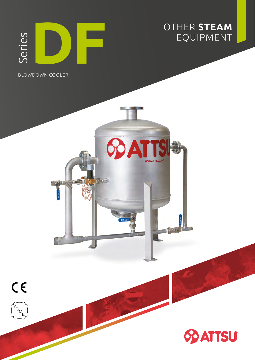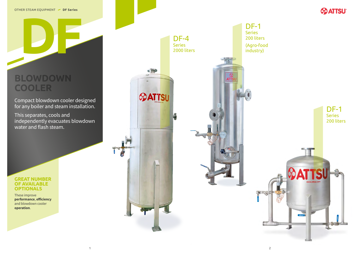**DF**

### **BLOWDOWN COOLER**



DF-1

Series



200 liters

This separates, cools and independently evacuates blowdown water and flash steam.

(Agro-food industry)



Compact blowdown cooler designed for any boiler and steam installation.

### **GREAT NUMBER OF AVAILABLE OPTIONALS**

These improve **performance**, **efficiency** and blowdown cooler **operation**.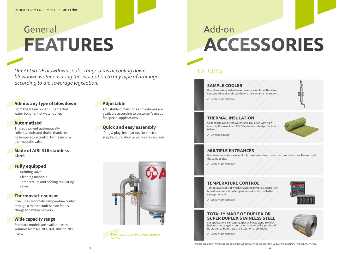## General **FEATURES**

Our ATTSU DF blowdown cooler range aims at cooling down blowdown water ensuring the evacuation to any type of drainage according to the sewerage legislation.

### **Admits any type of blowdown**

From the steam boiler, superheated water boiler or hot water boiler.

### **Automatized**

This equipment automatically collects, cools and drains thanks to its temperature control by means of a thermostatic valve.

### **Made of AISI 316 stainless** steel

### **Fully equipped**

- $\triangleright$  Draining valve
- Cleaning manhole
- Temperature and cooling regulating  $\sum$ valve

### **Thermostatic sensor**

It includes automatic temperature control through a thermostatic sensor for discharge to sewage network.

### **Wide capacity range**

Standard models are available with volumes from 60, 200, 360, 1000 to 2000 liters.

### **Adjustable**

Adjustable dimensions and volumes are available according to customer's needs for special applications.

### **Quick and easy assembly**

'Plug & play' installation. No electric supply, foundation or works are required.



Thermostatic valve for temperature control

## Add-on **ACCESSORIES**

### FFATURES

### **SAMPLE COOLER**

It enables taking instantaneous water samples of the same concentration in a safe way before they enter to the cooler.

 $\sqrt{2}$  Easy maintenance

### **THERMAL INSULATION**

Condensates and fresh water tank insulation with high intensity Rockwool and AISI-304 stainless steel protection  $0.6$  mm.

 $\sqrt{F}$  Energy saving

### **MULTIPLE ENTRANCES**

It enables the entrance of multiple blowdowns from more than one boiler simultaneously in the same cooler.

 $\sqrt{2}$  Easy maintenance

### **TEMPERATURE CONTROL**

Temperature control which enables to remotely control the blowdown evacuation temperature when it is led to the sewage network.

 $\sqrt{ }$  Easy maintenance

### **TOTALLY MADE OF DUPLEX OR SUPER DUPLEX STAINLESS STEEL**

For applications concerning special blowdowns in which high resistance against corrosion is required i.e. produced by cracks, sulfide stress or dissolution of chlorides.

 $\sqrt{2}$  Easy maintenance

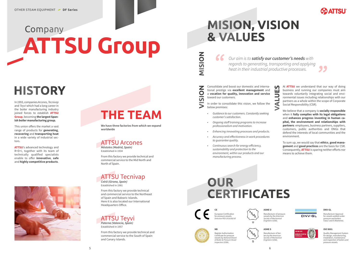# Company ATTSU Group

## **HISTORY**

In 1993, companies Arcones, Tecnivap and Teyvi which had a long career in the boiler manufacturing industry joined forces to establish ATTSU **Group, becoming the largest Span**ish boiler manufacturing group.

This union offers the market a vast range of products for generating. recovering and transporting heat in a wide variety of industrial sectors.

ATTSU's advanced technology and R+D+i, together with its team of technically qualified specialists enable to offer innovative, safe and highly competitive products.



## **THE TEAM**

We have three factories from which we expand worldwide

### **ATTSU Arcones** Móstoles (Madrid, Spain)

Established in 1934

From this factory we provide technical and commercial service to the Mid North and North of Spain.

### **ATTSU Tecnivap** Celrà (Girona, Spain)

Established in 1981

From this factory we provide technical and commercial service to the Northeast of Spain and Balearic Islands. Here it is also located our International Headquarters Office.



### Established in 1957

From this factory we provide technical and commercial service to the South of Spain and Canary Islands.

### **MISION, VISION & VALUES**

NISION

Z

SIO

 $\ddot{\phantom{1}}$ 

66 Our aim is to satisfy our customer's needs with regards to generating, transporting and applying heat in their industrial productive processes.

Consolidate and boost our domestic and international prestige via excellent management and a vocation for quality, innovation and service toward our customers.

In order to consolidate this vision, we follow the below premises:

- Guidance to our customers. Constantly seeking customer's satisfaction.
- Ongoing staff training programs to increase professionalism and motivation.
- Enhancing innovating processes and products.
- Accuracy and effectiveness in work procedures to quarantee quality.
- Continuous search for energy efficiency, sustainability and protection to the environment, within our products and our manufacturing process.

## OUR **CERTIFICATES**

for pressure vessels

European Certification tor pressure vessels.<br>Directive PED 2014/68/UE

Register Authorization

Certificate for pressure

Inspectors (USA)

vessels by National Board

of Boiler & Pressure Vesse

**ASME U** Engineers (USA).









At **ATTSU** we understand that our way of doing business and running our companies must aim towards voluntarily integrating social and environmental issues including relationships with our partners as a whole within the scope of Corporate Social Responsibility (CSR).

We believe that a company is socially responsible when it fully complies with its legal obligations and enhances progress investing in human capital, the environment and relationships with partners: employees, business partners, suppliers, customers, public authorities and ONGs that defend the interests of local communities and the environment.

To sum up, we would say that ethics, good management and good practices are the basis for CSR. Consequently, **ATTSU** is sparing neither efforts nor means to achieve them.



Manufacturer of pressure vessels by the American<br>Society of Mechanical

Manufacturer of boi lers by the American Engineers (USA)





#### **DNV-GL**

Manufacturer Approval for vessels welded under pressure and boilers Class I and II (Maritime)

#### ISO 9001

Quality Management System<br>for design, manufacturing, installation, maintenance and inspection of boilers and pressure vessels